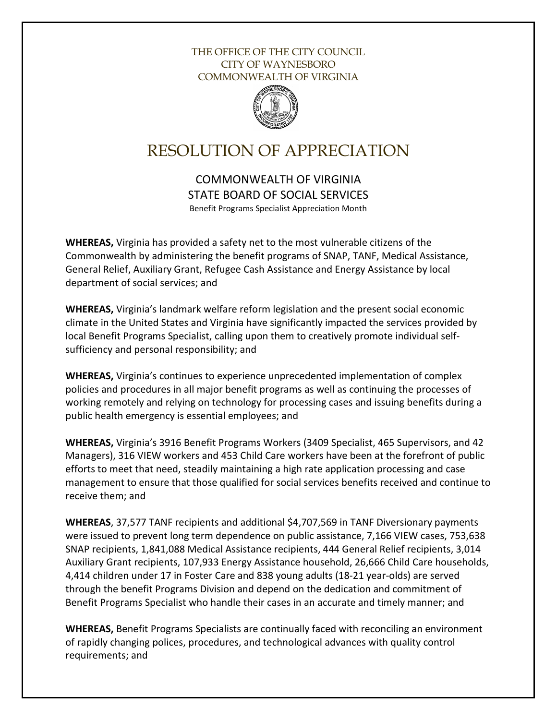## THE OFFICE OF THE CITY COUNCIL CITY OF WAYNESBORO COMMONWEALTH OF VIRGINIA



## RESOLUTION OF APPRECIATION

COMMONWEALTH OF VIRGINIA STATE BOARD OF SOCIAL SERVICES Benefit Programs Specialist Appreciation Month

**WHEREAS,** Virginia has provided a safety net to the most vulnerable citizens of the Commonwealth by administering the benefit programs of SNAP, TANF, Medical Assistance, General Relief, Auxiliary Grant, Refugee Cash Assistance and Energy Assistance by local department of social services; and

**WHEREAS,** Virginia's landmark welfare reform legislation and the present social economic climate in the United States and Virginia have significantly impacted the services provided by local Benefit Programs Specialist, calling upon them to creatively promote individual selfsufficiency and personal responsibility; and

**WHEREAS,** Virginia's continues to experience unprecedented implementation of complex policies and procedures in all major benefit programs as well as continuing the processes of working remotely and relying on technology for processing cases and issuing benefits during a public health emergency is essential employees; and

**WHEREAS,** Virginia's 3916 Benefit Programs Workers (3409 Specialist, 465 Supervisors, and 42 Managers), 316 VIEW workers and 453 Child Care workers have been at the forefront of public efforts to meet that need, steadily maintaining a high rate application processing and case management to ensure that those qualified for social services benefits received and continue to receive them; and

**WHEREAS**, 37,577 TANF recipients and additional \$4,707,569 in TANF Diversionary payments were issued to prevent long term dependence on public assistance, 7,166 VIEW cases, 753,638 SNAP recipients, 1,841,088 Medical Assistance recipients, 444 General Relief recipients, 3,014 Auxiliary Grant recipients, 107,933 Energy Assistance household, 26,666 Child Care households, 4,414 children under 17 in Foster Care and 838 young adults (18-21 year-olds) are served through the benefit Programs Division and depend on the dedication and commitment of Benefit Programs Specialist who handle their cases in an accurate and timely manner; and

**WHEREAS,** Benefit Programs Specialists are continually faced with reconciling an environment of rapidly changing polices, procedures, and technological advances with quality control requirements; and